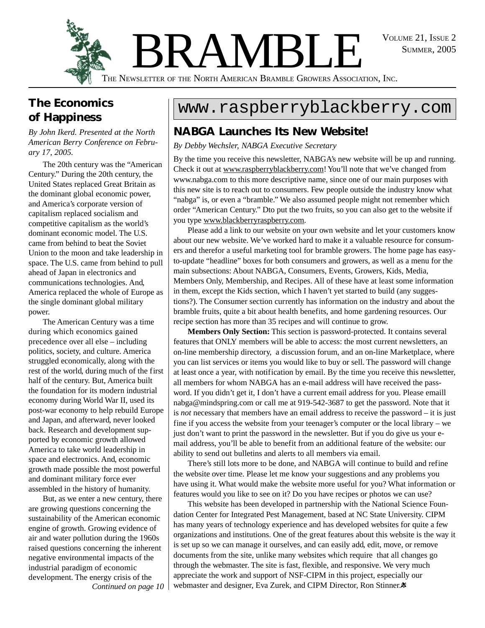SUMMER, 2005



# **The Economics of Happiness**

*By John Ikerd. Presented at the North American Berry Conference on February 17, 2005.*

The 20th century was the "American Century." During the 20th century, the United States replaced Great Britain as the dominant global economic power, and America's corporate version of capitalism replaced socialism and competitive capitalism as the world's dominant economic model. The U.S. came from behind to beat the Soviet Union to the moon and take leadership in space. The U.S. came from behind to pull ahead of Japan in electronics and communications technologies. And, America replaced the whole of Europe as the single dominant global military power.

The American Century was a time during which economics gained precedence over all else – including politics, society, and culture. America struggled economically, along with the rest of the world, during much of the first half of the century. But, America built the foundation for its modern industrial economy during World War II, used its post-war economy to help rebuild Europe and Japan, and afterward, never looked back. Research and development supported by economic growth allowed America to take world leadership in space and electronics. And, economic growth made possible the most powerful and dominant military force ever assembled in the history of humanity.

But, as we enter a new century, there are growing questions concerning the sustainability of the American economic engine of growth. Growing evidence of air and water pollution during the 1960s raised questions concerning the inherent negative environmental impacts of the industrial paradigm of economic development. The energy crisis of the *Continued on page 10*

# www.raspberryblackberry.com

# **NABGA Launches Its New Website!**

*By Debby Wechsler, NABGA Executive Secretary*

By the time you receive this newsletter, NABGA's new website will be up and running. Check it out at www.raspberryblackberry.com! You'll note that we've changed from www.nabga.com to this more descriptive name, since one of our main purposes with this new site is to reach out to consumers. Few people outside the industry know what "nabga" is, or even a "bramble." We also assumed people might not remember which order "American Century." Dto put the two fruits, so you can also get to the website if you type www.blackberryraspberry.com.

Please add a link to our website on your own website and let your customers know about our new website. We've worked hard to make it a valuable resource for consumers and therefor a useful marketing tool for bramble growers. The home page has easyto-update "headline" boxes for both consumers and growers, as well as a menu for the main subsections: About NABGA, Consumers, Events, Growers, Kids, Media, Members Only, Membership, and Recipes. All of these have at least some information in them, except the Kids section, which I haven't yet started to build (any suggestions?). The Consumer section currently has information on the industry and about the bramble fruits, quite a bit about health benefits, and home gardening resources. Our recipe section has more than 35 recipes and will continue to grow.

**Members Only Section:** This section is password-protected. It contains several features that ONLY members will be able to access: the most current newsletters, an on-line membership directory, a discussion forum, and an on-line Marketplace, where you can list services or items you would like to buy or sell. The password will change at least once a year, with notification by email. By the time you receive this newsletter, all members for whom NABGA has an e-mail address will have received the password. If you didn't get it, I don't have a current email address for you. Please emaill nabga@mindspring.com or call me at 919-542-3687 to get the password. Note that it is *not* necessary that members have an email address to receive the password – it is just fine if you access the website from your teenager's computer or the local library – we just don't want to print the password in the newsletter. But if you do give us your email address, you'll be able to benefit from an additional feature of the website: our ability to send out bulletins and alerts to all members via email.

There's still lots more to be done, and NABGA will continue to build and refine the website over time. Please let me know your suggestions and any problems you have using it. What would make the website more useful for you? What information or features would you like to see on it? Do you have recipes or photos we can use?

This website has been developed in partnership with the National Science Foundation Center for Integrated Pest Management, based at NC State University. CIPM has many years of technology experience and has developed websites for quite a few organizations and institutions. One of the great features about this website is the way it is set up so we can manage it ourselves, and can easily add, edit, move, or remove documents from the site, unlike many websites which require that all changes go through the webmaster. The site is fast, flexible, and responsive. We very much appreciate the work and support of NSF-CIPM in this project, especially our webmaster and designer, Eva Zurek, and CIPM Director, Ron Stinner.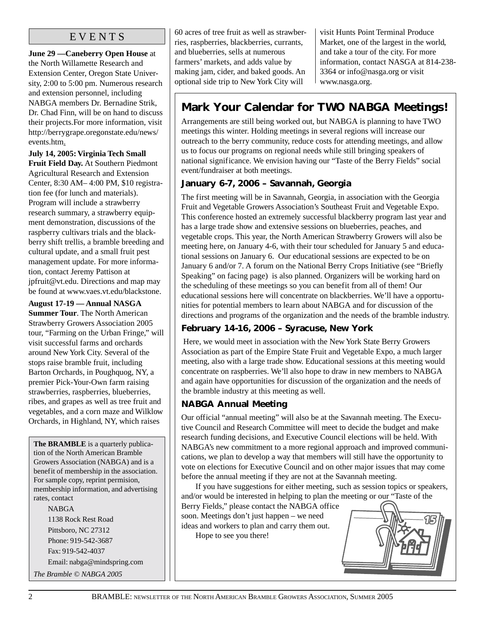## E V E N T S

**June 29 —Caneberry Open House** at the North Willamette Research and Extension Center, Oregon State University, 2:00 to 5:00 pm. Numerous research and extension personnel, including NABGA members Dr. Bernadine Strik, Dr. Chad Finn, will be on hand to discuss their projects.For more information, visit http://berrygrape.oregonstate.edu/news/ events.htm.

**July 14, 2005: Virginia Tech Small**

**Fruit Field Day.** At Southern Piedmont Agricultural Research and Extension Center, 8:30 AM– 4:00 PM, \$10 registration fee (for lunch and materials). Program will include a strawberry research summary, a strawberry equipment demonstration, discussions of the raspberry cultivars trials and the blackberry shift trellis, a bramble breeding and cultural update, and a small fruit pest management update. For more information, contact Jeremy Pattison at jpfruit@vt.edu. Directions and map may be found at www.vaes.vt.edu/blackstone.

**August 17-19 — Annual NASGA**

**Summer Tour**. The North American Strawberry Growers Association 2005 tour, "Farming on the Urban Fringe," will visit successful farms and orchards around New York City. Several of the stops raise bramble fruit, including Barton Orchards, in Poughquog, NY, a premier Pick-Your-Own farm raising strawberries, raspberries, blueberries, ribes, and grapes as well as tree fruit and vegetables, and a corn maze and Wilklow Orchards, in Highland, NY, which raises

**The BRAMBLE** is a quarterly publication of the North American Bramble Growers Association (NABGA) and is a benefit of membership in the association. For sample copy, reprint permision, membership information, and advertising rates, contact NABGA

1138 Rock Rest Road Pittsboro, NC 27312 Phone: 919-542-3687 Fax: 919-542-4037 Email: nabga@mindspring.com *The Bramble © NABGA 2005*

60 acres of tree fruit as well as strawberries, raspberries, blackberries, currants, and blueberries, sells at numerous farmers' markets, and adds value by making jam, cider, and baked goods. An optional side trip to New York City will

visit Hunts Point Terminal Produce Market, one of the largest in the world, and take a tour of the city. For more information, contact NASGA at 814-238- 3364 or info@nasga.org or visit www.nasga.org.

# **Mark Your Calendar for TWO NABGA Meetings!**

Arrangements are still being worked out, but NABGA is planning to have TWO meetings this winter. Holding meetings in several regions will increase our outreach to the berry community, reduce costs for attending meetings, and allow us to focus our programs on regional needs while still bringing speakers of national significance. We envision having our "Taste of the Berry Fields" social event/fundraiser at both meetings.

## **January 6-7, 2006 – Savannah, Georgia**

The first meeting will be in Savannah, Georgia, in association with the Georgia Fruit and Vegetable Growers Association's Southeast Fruit and Vegetable Expo. This conference hosted an extremely successful blackberry program last year and has a large trade show and extensive sessions on blueberries, peaches, and vegetable crops. This year, the North American Strawberry Growers will also be meeting here, on January 4-6, with their tour scheduled for January 5 and educational sessions on January 6. Our educational sessions are expected to be on January 6 and/or 7. A forum on the National Berry Crops Initiative (see "Briefly Speaking" on facing page) is also planned. Organizers will be working hard on the scheduling of these meetings so you can benefit from all of them! Our educational sessions here will concentrate on blackberries. We'll have a opportunities for potential members to learn about NABGA and for discussion of the directions and programs of the organization and the needs of the bramble industry.

## **February 14-16, 2006 – Syracuse, New York**

 Here, we would meet in association with the New York State Berry Growers Association as part of the Empire State Fruit and Vegetable Expo, a much larger meeting, also with a large trade show. Educational sessions at this meeting would concentrate on raspberries. We'll also hope to draw in new members to NABGA and again have opportunities for discussion of the organization and the needs of the bramble industry at this meeting as well.

## **NABGA Annual Meeting**

Our official "annual meeting" will also be at the Savannah meeting. The Executive Council and Research Committee will meet to decide the budget and make research funding decisions, and Executive Council elections will be held. With NABGA's new commitment to a more regional approach and improved communications, we plan to develop a way that members will still have the opportunity to vote on elections for Executive Council and on other major issues that may come before the annual meeting if they are not at the Savannah meeting.

If you have suggestions for either meeting, such as session topics or speakers, and/or would be interested in helping to plan the meeting or our "Taste of the

Berry Fields," please contact the NABGA office soon. Meetings don't just happen – we need ideas and workers to plan and carry them out. Hope to see you there!

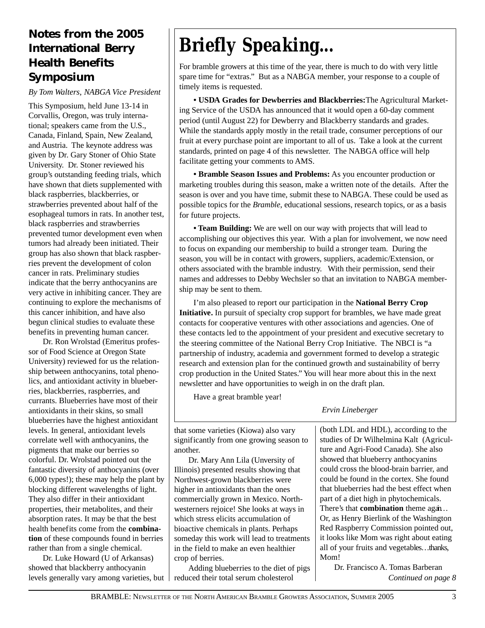# **Notes from the 2005 International Berry Health Benefits Symposium**

*By Tom Walters, NABGA Vice President*

This Symposium, held June 13-14 in Corvallis, Oregon, was truly international; speakers came from the U.S., Canada, Finland, Spain, New Zealand, and Austria. The keynote address was given by Dr. Gary Stoner of Ohio State University. Dr. Stoner reviewed his group's outstanding feeding trials, which have shown that diets supplemented with black raspberries, blackberries, or strawberries prevented about half of the esophageal tumors in rats. In another test, black raspberries and strawberries prevented tumor development even when tumors had already been initiated. Their group has also shown that black raspberries prevent the development of colon cancer in rats. Preliminary studies indicate that the berry anthocyanins are very active in inhibiting cancer. They are continuing to explore the mechanisms of this cancer inhibition, and have also begun clinical studies to evaluate these benefits in preventing human cancer.

Dr. Ron Wrolstad (Emeritus professor of Food Science at Oregon State University) reviewed for us the relationship between anthocyanins, total phenolics, and antioxidant activity in blueberries, blackberries, raspberries, and currants. Blueberries have most of their antioxidants in their skins, so small blueberries have the highest antioxidant levels. In general, antioxidant levels correlate well with anthocyanins, the pigments that make our berries so colorful. Dr. Wrolstad pointed out the fantastic diversity of anthocyanins (over 6,000 types!); these may help the plant by blocking different wavelengths of light. They also differ in their antioxidant properties, their metabolites, and their absorption rates. It may be that the best health benefits come from the **combination** of these compounds found in berries rather than from a single chemical.

Dr. Luke Howard (U of Arkansas) showed that blackberry anthocyanin levels generally vary among varieties, but | reduced their total serum cholesterol

# *Briefly Speaking...*

For bramble growers at this time of the year, there is much to do with very little spare time for "extras." But as a NABGA member, your response to a couple of timely items is requested.

**• USDA Grades for Dewberries and Blackberries:**The Agricultural Marketing Service of the USDA has announced that it would open a 60-day comment period (until August 22) for Dewberry and Blackberry standards and grades. While the standards apply mostly in the retail trade, consumer perceptions of our fruit at every purchase point are important to all of us. Take a look at the current standards, printed on page 4 of this newsletter. The NABGA office will help facilitate getting your comments to AMS.

**• Bramble Season Issues and Problems:** As you encounter production or marketing troubles during this season, make a written note of the details. After the season is over and you have time, submit these to NABGA. These could be used as possible topics for the *Bramble*, educational sessions, research topics, or as a basis for future projects.

**• Team Building:** We are well on our way with projects that will lead to accomplishing our objectives this year. With a plan for involvement, we now need to focus on expanding our membership to build a stronger team. During the season, you will be in contact with growers, suppliers, academic/Extension, or others associated with the bramble industry. With their permission, send their names and addresses to Debby Wechsler so that an invitation to NABGA membership may be sent to them.

I'm also pleased to report our participation in the **National Berry Crop Initiative.** In pursuit of specialty crop support for brambles, we have made great contacts for cooperative ventures with other associations and agencies. One of these contacts led to the appointment of your president and executive secretary to the steering committee of the National Berry Crop Initiative. The NBCI is "a partnership of industry, academia and government formed to develop a strategic research and extension plan for the continued growth and sustainability of berry crop production in the United States." You will hear more about this in the next newsletter and have opportunities to weigh in on the draft plan.

Have a great bramble year!

## *Ervin Lineberger*

that some varieties (Kiowa) also vary significantly from one growing season to another.

Dr. Mary Ann Lila (Unversity of Illinois) presented results showing that Northwest-grown blackberries were higher in antioxidants than the ones commercially grown in Mexico. Northwesterners rejoice! She looks at ways in which stress elicits accumulation of bioactive chemicals in plants. Perhaps someday this work will lead to treatments in the field to make an even healthier crop of berries.

Adding blueberries to the diet of pigs

(both LDL and HDL), according to the studies of Dr Wilhelmina Kalt (Agriculture and Agri-Food Canada). She also showed that blueberry anthocyanins could cross the blood-brain barrier, and could be found in the cortex. She found that blueberries had the best effect when part of a diet high in phytochemicals. There's that **combination** theme again... Or, as Henry Bierlink of the Washington Red Raspberry Commission pointed out, it looks like Mom was right about eating all of your fruits and vegetables…thanks, Mom!

Dr. Francisco A. Tomas Barberan *Continued on page 8*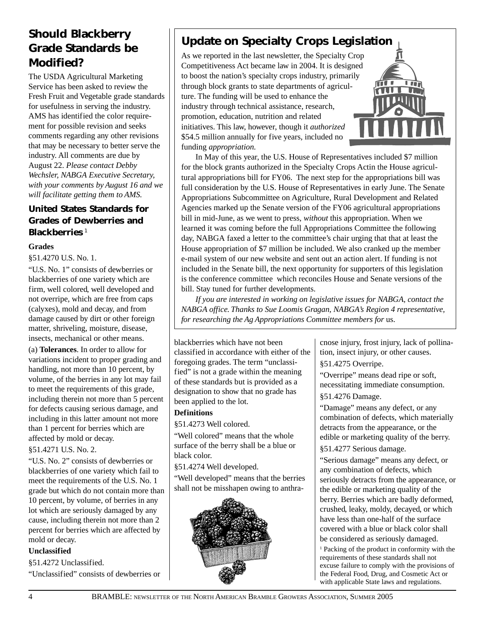# **Should Blackberry Grade Standards be Modified?**

The USDA Agricultural Marketing Service has been asked to review the Fresh Fruit and Vegetable grade standards for usefulness in serving the industry. AMS has identified the color requirement for possible revision and seeks comments regarding any other revisions that may be necessary to better serve the industry. All comments are due by August 22. *Please contact Debby Wechsler, NABGA Executive Secretary, with your comments by August 16 and we will facilitate getting them to AMS.*

## **United States Standards for Grades of Dewberries and Blackberries**<sup>1</sup>

### **Grades**

§51.4270 U.S. No. 1.

"U.S. No. 1" consists of dewberries or blackberries of one variety which are firm, well colored, well developed and not overripe, which are free from caps (calyxes), mold and decay, and from damage caused by dirt or other foreign matter, shriveling, moisture, disease, insects, mechanical or other means.

(a) **Tolerances**. In order to allow for variations incident to proper grading and handling, not more than 10 percent, by volume, of the berries in any lot may fail to meet the requirements of this grade, including therein not more than 5 percent for defects causing serious damage, and including in this latter amount not more than 1 percent for berries which are affected by mold or decay.

## §51.4271 U.S. No. 2.

"U.S. No. 2" consists of dewberries or blackberries of one variety which fail to meet the requirements of the U.S. No. 1 grade but which do not contain more than 10 percent, by volume, of berries in any lot which are seriously damaged by any cause, including therein not more than 2 percent for berries which are affected by mold or decay.

### **Unclassified**

§51.4272 Unclassified.

"Unclassified" consists of dewberries or

# **Update on Specialty Crops Legislation**

As we reported in the last newsletter, the Specialty Crop Competitiveness Act became law in 2004. It is designed to boost the nation's specialty crops industry, primarily through block grants to state departments of agriculture. The funding will be used to enhance the industry through technical assistance, research, promotion, education, nutrition and related initiatives. This law, however, though it *authorized* \$54.5 million annually for five years, included no funding *appropriation.*



In May of this year, the U.S. House of Representatives included \$7 million for the block grants authorized in the Specialty Crops Actin the House agricultural appropriations bill for FY06. The next step for the appropriations bill was full consideration by the U.S. House of Representatives in early June. The Senate Appropriations Subcommittee on Agriculture, Rural Development and Related Agencies marked up the Senate version of the FY06 agricultural appropriations bill in mid-June, as we went to press, *without* this appropriation. When we learned it was coming before the full Appropriations Committee the following day, NABGA faxed a letter to the committee's chair urging that that at least the House appropriation of \$7 million be included. We also cranked up the member e-mail system of our new website and sent out an action alert. If funding is not included in the Senate bill, the next opportunity for supporters of this legislation is the conference committee which reconciles House and Senate versions of the bill. Stay tuned for further developments.

*If you are interested in working on legislative issues for NABGA, contact the NABGA office. Thanks to Sue Loomis Gragan, NABGA's Region 4 representative, for researching the Ag Appropriations Committee members for* us.

blackberries which have not been classified in accordance with either of the foregoing grades. The term "unclassified" is not a grade within the meaning of these standards but is provided as a designation to show that no grade has been applied to the lot.

### **Definitions**

§51.4273 Well colored.

"Well colored" means that the whole surface of the berry shall be a blue or black color.

§51.4274 Well developed.

"Well developed" means that the berries shall not be misshapen owing to anthra-



cnose injury, frost injury, lack of pollination, insect injury, or other causes.

§51.4275 Overripe.

"Overripe" means dead ripe or soft, necessitating immediate consumption. §51.4276 Damage.

"Damage" means any defect, or any combination of defects, which materially detracts from the appearance, or the edible or marketing quality of the berry. §51.4277 Serious damage.

"Serious damage" means any defect, or any combination of defects, which seriously detracts from the appearance, or the edible or marketing quality of the berry. Berries which are badly deformed, crushed, leaky, moldy, decayed, or which have less than one-half of the surface covered with a blue or black color shall be considered as seriously damaged.

<sup>1</sup> Packing of the product in conformity with the requirements of these standards shall not excuse failure to comply with the provisions of the Federal Food, Drug, and Cosmetic Act or with applicable State laws and regulations.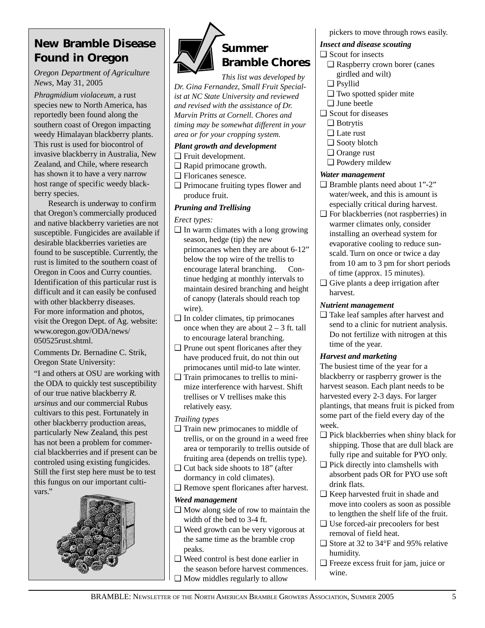# **New Bramble Disease Found in Oregon**

*Oregon Department of Agriculture News,* May 31, 2005

*Phragmidium violaceum,* a rust species new to North America, has reportedly been found along the southern coast of Oregon impacting weedy Himalayan blackberry plants. This rust is used for biocontrol of invasive blackberry in Australia, New Zealand, and Chile, where research has shown it to have a very narrow host range of specific weedy blackberry species.

Research is underway to confirm that Oregon's commercially produced and native blackberry varieties are not susceptible. Fungicides are available if desirable blackberries varieties are found to be susceptible. Currently, the rust is limited to the southern coast of Oregon in Coos and Curry counties. Identification of this particular rust is difficult and it can easily be confused with other blackberry diseases. For more information and photos, visit the Oregon Dept. of Ag. website: www.oregon.gov/ODA/news/ 050525rust.shtml.

Comments Dr. Bernadine C. Strik, Oregon State University:

"I and others at OSU are working with the ODA to quickly test susceptibility of our true native blackberry *R. ursinus* and our commercial Rubus cultivars to this pest. Fortunately in other blackberry production areas, particularly New Zealand, this pest has not been a problem for commercial blackberries and if present can be controled using existing fungicides. Still the first step here must be to test this fungus on our important cultivars."





*This list was developed by Dr. Gina Fernandez, Small Fruit Specialist at NC State University and reviewed and revised with the assistance of Dr. Marvin Pritts at Cornell. Chores and timing may be somewhat different in your area or for your cropping system.*

## *Plant growth and development*

- ❑ Fruit development.
- ❑ Rapid primocane growth.
- ❑ Floricanes senesce.
- ❑ Primocane fruiting types flower and produce fruit.

## *Pruning and Trellising*

*Erect types:*

- $\Box$  In warm climates with a long growing season, hedge (tip) the new primocanes when they are about 6-12" below the top wire of the trellis to encourage lateral branching. Continue hedging at monthly intervals to maintain desired branching and height of canopy (laterals should reach top wire).
- $\Box$  In colder climates, tip primocanes once when they are about  $2 - 3$  ft. tall to encourage lateral branching.
- ❑ Prune out spent floricanes after they have produced fruit, do not thin out primocanes until mid-to late winter.
- ❑ Train primocanes to trellis to minimize interference with harvest. Shift trellises or V trellises make this relatively easy.

## *Trailing types*

- ❑ Train new primocanes to middle of trellis, or on the ground in a weed free area or temporarily to trellis outside of fruiting area (depends on trellis type).
- ❑ Cut back side shoots to 18" (after dormancy in cold climates).
- ❑ Remove spent floricanes after harvest.

## *Weed management*

- ❑ Mow along side of row to maintain the width of the bed to 3-4 ft.
- ❑ Weed growth can be very vigorous at the same time as the bramble crop peaks.
- ❑ Weed control is best done earlier in the season before harvest commences. ❑ Mow middles regularly to allow

pickers to move through rows easily.

## *Insect and disease scouting*

❑ Scout for insects

- ❑ Raspberry crown borer (canes girdled and wilt)
- ❑ Psyllid
- ❑ Two spotted spider mite
- ❑ June beetle
- ❑ Scout for diseases
	- ❑ Botrytis
	- ❑ Late rust
	- ❑ Sooty blotch
	- ❑ Orange rust
	- ❑ Powdery mildew

## *Water management*

- ❑ Bramble plants need about 1"-2" water/week, and this is amount is especially critical during harvest.
- ❑ For blackberries (not raspberries) in warmer climates only, consider installing an overhead system for evaporative cooling to reduce sunscald. Turn on once or twice a day from 10 am to 3 pm for short periods of time (approx. 15 minutes).
- ❑ Give plants a deep irrigation after harvest.

## *Nutrient management*

❑ Take leaf samples after harvest and send to a clinic for nutrient analysis. Do not fertilize with nitrogen at this time of the year.

## *Harvest and marketing*

The busiest time of the year for a blackberry or raspberry grower is the harvest season. Each plant needs to be harvested every 2-3 days. For larger plantings, that means fruit is picked from some part of the field every day of the week.

- ❑ Pick blackberries when shiny black for shipping. Those that are dull black are fully ripe and suitable for PYO only.
- ❑ Pick directly into clamshells with absorbent pads OR for PYO use soft drink flats.
- ❑ Keep harvested fruit in shade and move into coolers as soon as possible to lengthen the shelf life of the fruit.
- ❑ Use forced-air precoolers for best removal of field heat.
- ❑ Store at 32 to 34°F and 95% relative humidity.
- ❑ Freeze excess fruit for jam, juice or wine.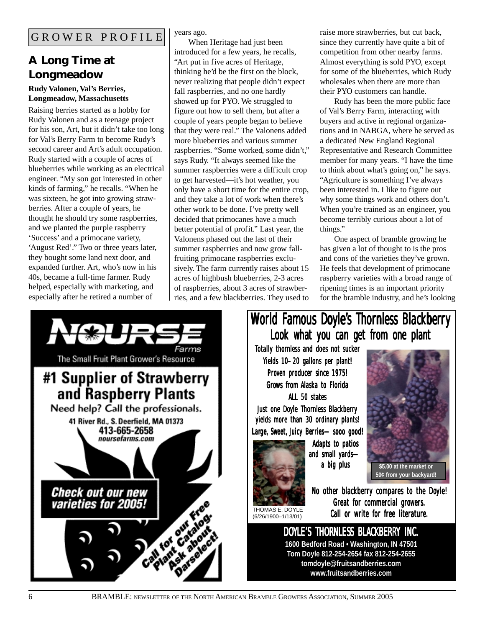# **A Long Time at Longmeadow**

## **Rudy Valonen, Val's Berries, Longmeadow, Massachusetts**

Raising berries started as a hobby for Rudy Valonen and as a teenage project for his son, Art, but it didn't take too long for Val's Berry Farm to become Rudy's second career and Art's adult occupation. Rudy started with a couple of acres of blueberries while working as an electrical engineer. "My son got interested in other kinds of farming," he recalls. "When he was sixteen, he got into growing strawberries. After a couple of years, he thought he should try some raspberries, and we planted the purple raspberry 'Success' and a primocane variety, 'August Red'." Two or three years later, they bought some land next door, and expanded further. Art, who's now in his 40s, became a full-time farmer. Rudy helped, especially with marketing, and especially after he retired a number of

years ago.

When Heritage had just been introduced for a few years, he recalls, "Art put in five acres of Heritage, thinking he'd be the first on the block, never realizing that people didn't expect fall raspberries, and no one hardly showed up for PYO. We struggled to figure out how to sell them, but after a couple of years people began to believe that they were real." The Valonens added more blueberries and various summer raspberries. "Some worked, some didn't," says Rudy. "It always seemed like the summer raspberries were a difficult crop to get harvested—it's hot weather, you only have a short time for the entire crop, and they take a lot of work when there's other work to be done. I've pretty well decided that primocanes have a much better potential of profit." Last year, the Valonens phased out the last of their summer raspberries and now grow fallfruiting primocane raspberries exclusively. The farm currently raises about 15 acres of highbush blueberries, 2-3 acres of raspberries, about 3 acres of strawberries, and a few blackberries. They used to raise more strawberries, but cut back, since they currently have quite a bit of competition from other nearby farms. Almost everything is sold PYO, except for some of the blueberries, which Rudy wholesales when there are more than their PYO customers can handle.

Rudy has been the more public face of Val's Berry Farm, interacting with buyers and active in regional organizations and in NABGA, where he served as a dedicated New England Regional Representative and Research Committee member for many years. "I have the time to think about what's going on," he says. "Agriculture is something I've always been interested in. I like to figure out why some things work and others don't. When you're trained as an engineer, you become terribly curious about a lot of things."

One aspect of bramble growing he has given a lot of thought to is the pros and cons of the varieties they've grown. He feels that development of primocane raspberry varieties with a broad range of ripening times is an important priority for the bramble industry, and he's looking

# The Small Fruit Plant Grower's Resource #1 Supplier of Strawberry and Raspberry Plants Need help? Call the professionals. 41 River Rd., S. Deerfield, MA 01373 413-665-2658 noursefarms.com **Check out our new** varieties for 2005! out tator **Out** all fort

# World Famous Doyle's Thornless Blackberry Look what you can get from one plant

Totally thornless and does not sucker Yields 10–20 gallons per plant! Proven producer since 1975! Grows from Alaska to Florida ALL 50 states

Just one Doyle Thornless Blackberry yields more than 30 ordinary plants! Large, Sweet, Juicy Berries-sooo good!



Adapts to patios and small yards a big plus



**50¢ from your backyard!**

THOMAS E. DOYLE (6/26/1900–1/13/01)

No other blackberry compares to the Doyle! Great for commercial growers. Call or write for free literature.

DOYLE'S THORNLESS BLACKBERRY INC.

**1600 Bedford Road • Washington, IN 47501 Tom Doyle 812-254-2654 fax 812-254-2655 tomdoyle@fruitsandberries.com www.fruitsandberries.com**

6 BRAMBLE: NEWSLETTER OF THE NORTH AMERICAN BRAMBLE GROWERS ASSOCIATION, SUMMER 2005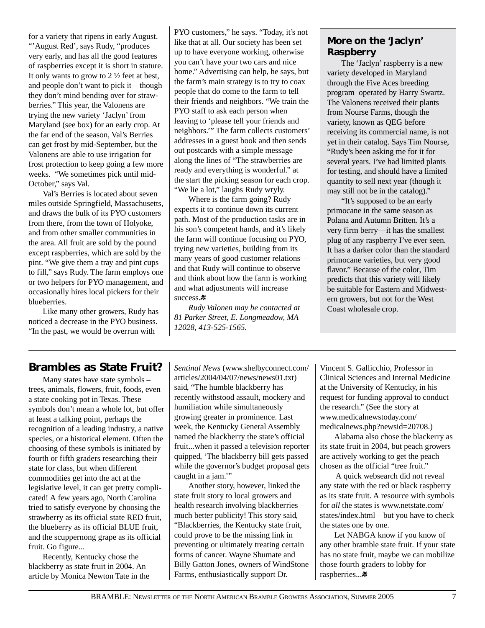for a variety that ripens in early August. "'August Red', says Rudy, "produces very early, and has all the good features of raspberries except it is short in stature. It only wants to grow to  $2\frac{1}{2}$  feet at best, and people don't want to pick it – though they don't mind bending over for strawberries." This year, the Valonens are trying the new variety 'Jaclyn' from Maryland (see box) for an early crop. At the far end of the season, Val's Berries can get frost by mid-September, but the Valonens are able to use irrigation for frost protection to keep going a few more weeks. "We sometimes pick until mid-October," says Val.

Val's Berries is located about seven miles outside Springfield, Massachusetts, and draws the bulk of its PYO customers from there, from the town of Holyoke, and from other smaller communities in the area. All fruit are sold by the pound except raspberries, which are sold by the pint. "We give them a tray and pint cups to fill," says Rudy. The farm employs one or two helpers for PYO management, and occasionally hires local pickers for their blueberries.

Like many other growers, Rudy has noticed a decrease in the PYO business. "In the past, we would be overrun with

PYO customers," he says. "Today, it's not like that at all. Our society has been set up to have everyone working, otherwise you can't have your two cars and nice home." Advertising can help, he says, but the farm's main strategy is to try to coax people that do come to the farm to tell their friends and neighbors. "We train the PYO staff to ask each person when leaving to 'please tell your friends and neighbors.'" The farm collects customers' addresses in a guest book and then sends out postcards with a simple message along the lines of "The strawberries are ready and everything is wonderful." at the start the picking season for each crop. "We lie a lot," laughs Rudy wryly.

Where is the farm going? Rudy expects it to continue down its current path. Most of the production tasks are in his son's competent hands, and it's likely the farm will continue focusing on PYO, trying new varieties, building from its many years of good customer relations and that Rudy will continue to observe and think about how the farm is working and what adjustments will increase success.素

*Rudy Valonen may be contacted at 81 Parker Street, E. Longmeadow, MA 12028, 413-525-1565.*

## **More on the 'Jaclyn' Raspberry**

The 'Jaclyn' raspberry is a new variety developed in Maryland through the Five Aces breeding program operated by Harry Swartz. The Valonens received their plants from Nourse Farms, though the variety, known as QEG before receiving its commercial name, is not yet in their catalog. Says Tim Nourse, "Rudy's been asking me for it for several years. I've had limited plants for testing, and should have a limited quantity to sell next year (though it may still not be in the catalog)."

"It's supposed to be an early primocane in the same season as Polana and Autumn Britten. It's a very firm berry—it has the smallest plug of any raspberry I've ever seen. It has a darker color than the standard primocane varieties, but very good flavor." Because of the color, Tim predicts that this variety will likely be suitable for Eastern and Midwestern growers, but not for the West Coast wholesale crop.

## **Brambles as State Fruit?**

Many states have state symbols – trees, animals, flowers, fruit, foods, even a state cooking pot in Texas. These symbols don't mean a whole lot, but offer at least a talking point, perhaps the recognition of a leading industry, a native species, or a historical element. Often the choosing of these symbols is initiated by fourth or fifth graders researching their state for class, but when different commodities get into the act at the legislative level, it can get pretty complicated! A few years ago, North Carolina tried to satisfy everyone by choosing the strawberry as its official state RED fruit, the blueberry as its official BLUE fruit, and the scuppernong grape as its official fruit. Go figure...

Recently, Kentucky chose the blackberry as state fruit in 2004. An article by Monica Newton Tate in the *Sentinal News* (www.shelbyconnect.com/ articles/2004/04/07/news/news01.txt) said, "The humble blackberry has recently withstood assault, mockery and humiliation while simultaneously growing greater in prominence. Last week, the Kentucky General Assembly named the blackberry the state's official fruit...when it passed a television reporter quipped, 'The blackberry bill gets passed while the governor's budget proposal gets caught in a jam."

Another story, however, linked the state fruit story to local growers and health research involving blackberries – much better publicity! This story said, "Blackberries, the Kentucky state fruit, could prove to be the missing link in preventing or ultimately treating certain forms of cancer. Wayne Shumate and Billy Gatton Jones, owners of WindStone Farms, enthusiastically support Dr.

Vincent S. Gallicchio, Professor in Clinical Sciences and Internal Medicine at the University of Kentucky, in his request for funding approval to conduct the research." (See the story at www.medicalnewstoday.com/ medicalnews.php?newsid=20708.)

Alabama also chose the blackerry as its state fruit in 2004, but peach growers are actively working to get the peach chosen as the official "tree fruit."

 A quick websearch did not reveal any state with the red or black raspberry as its state fruit. A resource with symbols for *all* the states is www.netstate.com/ states/index.html – but you have to check the states one by one.

Let NABGA know if you know of any other bramble state fruit. If your state has no state fruit, maybe we can mobilize those fourth graders to lobby for raspberries...※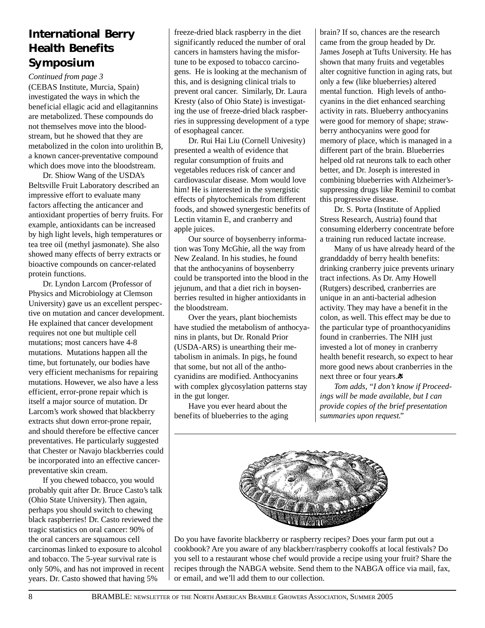# **International Berry Health Benefits Symposium**

*Continued from page 3*

(CEBAS Institute, Murcia, Spain) investigated the ways in which the beneficial ellagic acid and ellagitannins are metabolized. These compounds do not themselves move into the bloodstream, but he showed that they are metabolized in the colon into urolithin B, a known cancer-preventative compound which does move into the bloodstream.

Dr. Shiow Wang of the USDA's Beltsville Fruit Laboratory described an impressive effort to evaluate many factors affecting the anticancer and antioxidant properties of berry fruits. For example, antioxidants can be increased by high light levels, high temperatures or tea tree oil (methyl jasmonate). She also showed many effects of berry extracts or bioactive compounds on cancer-related protein functions.

Dr. Lyndon Larcom (Professor of Physics and Microbiology at Clemson University) gave us an excellent perspective on mutation and cancer development. He explained that cancer development requires not one but multiple cell mutations; most cancers have 4-8 mutations. Mutations happen all the time, but fortunately, our bodies have very efficient mechanisms for repairing mutations. However, we also have a less efficient, error-prone repair which is itself a major source of mutation. Dr Larcom's work showed that blackberry extracts shut down error-prone repair, and should therefore be effective cancer preventatives. He particularly suggested that Chester or Navajo blackberries could be incorporated into an effective cancerpreventative skin cream.

If you chewed tobacco, you would probably quit after Dr. Bruce Casto's talk (Ohio State University). Then again, perhaps you should switch to chewing black raspberries! Dr. Casto reviewed the tragic statistics on oral cancer: 90% of the oral cancers are squamous cell carcinomas linked to exposure to alcohol and tobacco. The 5-year survival rate is only 50%, and has not improved in recent years. Dr. Casto showed that having 5%

freeze-dried black raspberry in the diet significantly reduced the number of oral cancers in hamsters having the misfortune to be exposed to tobacco carcinogens. He is looking at the mechanism of this, and is designing clinical trials to prevent oral cancer. Similarly, Dr. Laura Kresty (also of Ohio State) is investigating the use of freeze-dried black raspberries in suppressing development of a type of esophageal cancer.

Dr. Rui Hai Liu (Cornell Univesity) presented a wealth of evidence that regular consumption of fruits and vegetables reduces risk of cancer and cardiovascular disease. Mom would love him! He is interested in the synergistic effects of phytochemicals from different foods, and showed synergestic benefits of Lectin vitamin E, and cranberry and apple juices.

Our source of boysenberry information was Tony McGhie, all the way from New Zealand. In his studies, he found that the anthocyanins of boysenberry could be transported into the blood in the jejunum, and that a diet rich in boysenberries resulted in higher antioxidants in the bloodstream.

Over the years, plant biochemists have studied the metabolism of anthocyanins in plants, but Dr. Ronald Prior (USDA-ARS) is unearthing their metabolism in animals. In pigs, he found that some, but not all of the anthocyanidins are modified. Anthocyanins with complex glycosylation patterns stay in the gut longer.

Have you ever heard about the benefits of blueberries to the aging brain? If so, chances are the research came from the group headed by Dr. James Joseph at Tufts University. He has shown that many fruits and vegetables alter cognitive function in aging rats, but only a few (like blueberries) altered mental function. High levels of anthocyanins in the diet enhanced searching activity in rats. Blueberry anthocyanins were good for memory of shape; strawberry anthocyanins were good for memory of place, which is managed in a different part of the brain. Blueberries helped old rat neurons talk to each other better, and Dr. Joseph is interested in combining blueberries with Alzheimer'ssuppressing drugs like Reminil to combat this progressive disease.

Dr. S. Porta (Institute of Applied Stress Research, Austria) found that consuming elderberry concentrate before a training run reduced lactate increase.

Many of us have already heard of the granddaddy of berry health benefits: drinking cranberry juice prevents urinary tract infections. As Dr. Amy Howell (Rutgers) described, cranberries are unique in an anti-bacterial adhesion activity. They may have a benefit in the colon, as well. This effect may be due to the particular type of proanthocyanidins found in cranberries. The NIH just invested a lot of money in cranberry health benefit research, so expect to hear more good news about cranberries in the next three or four years.

*Tom adds, "I don't know if Proceedings will be made available, but I can provide copies of the brief presentation summaries upon request."*



Do you have favorite blackberry or raspberry recipes? Does your farm put out a cookbook? Are you aware of any blackberr/raspberry cookoffs at local festivals? Do you sell to a restaurant whose chef would provide a recipe using your fruit? Share the recipes through the NABGA website. Send them to the NABGA office via mail, fax, or email, and we'll add them to our collection.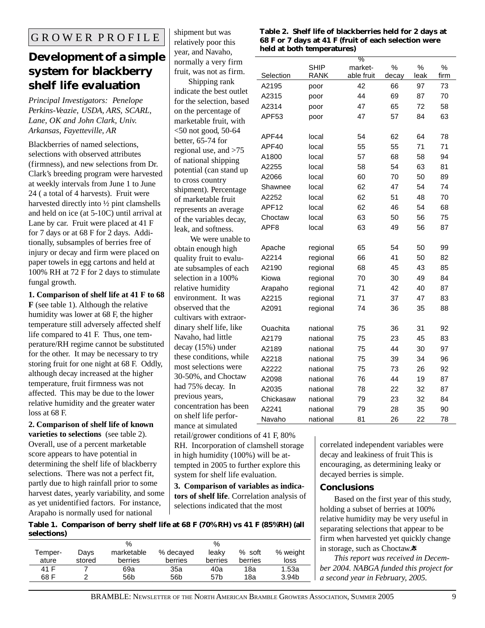# **Development of a simple system for blackberry shelf life evaluation**

*Principal Investigators: Penelope Perkins-Veazie, USDA, ARS, SCARL, Lane, OK and John Clark, Univ. Arkansas, Fayetteville, AR*

Blackberries of named selections, selections with observed attributes (firmness), and new selections from Dr. Clark's breeding program were harvested at weekly intervals from June 1 to June 24 ( a total of 4 harvests). Fruit were harvested directly into ½ pint clamshells and held on ice (at 5-10C) until arrival at Lane by car. Fruit were placed at 41 F for 7 days or at 68 F for 2 days. Additionally, subsamples of berries free of injury or decay and firm were placed on paper towels in egg cartons and held at 100% RH at 72 F for 2 days to stimulate fungal growth.

**1. Comparison of shelf life at 41 F to 68**

**F** (see table 1). Although the relative humidity was lower at 68 F, the higher temperature still adversely affected shelf life compared to 41 F. Thus, one temperature/RH regime cannot be substituted for the other. It may be necessary to try storing fruit for one night at 68 F. Oddly, although decay increased at the higher temperature, fruit firmness was not affected. This may be due to the lower relative humidity and the greater water loss at 68 F.

**2. Comparison of shelf life of known varieties to selections** (see table 2). Overall, use of a percent marketable score appears to have potential in determining the shelf life of blackberry selections.There was not a perfect fit, partly due to high rainfall prior to some harvest dates, yearly variability, and some as yet unidentified factors. For instance, Arapaho is normally used for national

shipment but was relatively poor this year, and Navaho, normally a very firm fruit, was not as firm.

Shipping rank indicate the best outlet for the selection, based on the percentage of marketable fruit, with <50 not good, 50-64 better, 65-74 for regional use, and >75 of national shipping potential (can stand up to cross country shipment). Percentage of marketable fruit represents an average of the variables decay, leak, and softness.

 We were unable to obtain enough high quality fruit to evaluate subsamples of each selection in a 100% relative humidity environment. It was observed that the cultivars with extraordinary shelf life, like Navaho, had little decay (15%) under these conditions, while most selections were 30-50%, and Choctaw had 75% decay. In previous years, concentration has been on shelf life performance at simulated

|           |          | ℅          |       |      |      |
|-----------|----------|------------|-------|------|------|
|           | SHIP     | market-    | %     | %    | %    |
| Selection | RANK     | able fruit | decay | leak | firm |
| A2195     | poor     | 42         | 66    | 97   | 73   |
| A2315     | poor     | 44         | 69    | 87   | 70   |
| A2314     | poor     | 47         | 65    | 72   | 58   |
| APF53     | poor     | 47         | 57    | 84   | 63   |
|           |          |            |       |      |      |
| APF44     | local    | 54         | 62    | 64   | 78   |
| APF40     | local    | 55         | 55    | 71   | 71   |
| A1800     | local    | 57         | 68    | 58   | 94   |
| A2255     | local    | 58         | 54    | 63   | 81   |
| A2066     | local    | 60         | 70    | 50   | 89   |
| Shawnee   | local    | 62         | 47    | 54   | 74   |
| A2252     | local    | 62         | 51    | 48   | 70   |
| APF12     | local    | 62         | 46    | 54   | 68   |
| Choctaw   | local    | 63         | 50    | 56   | 75   |
| APF8      | local    | 63         | 49    | 56   | 87   |
|           |          |            |       |      |      |
| Apache    | regional | 65         | 54    | 50   | 99   |
| A2214     | regional | 66         | 41    | 50   | 82   |
| A2190     | regional | 68         | 45    | 43   | 85   |
| Kiowa     | regional | 70         | 30    | 49   | 84   |
| Arapaho   | regional | 71         | 42    | 40   | 87   |
| A2215     | regional | 71         | 37    | 47   | 83   |
| A2091     | regional | 74         | 36    | 35   | 88   |
|           |          |            |       |      |      |
| Ouachita  | national | 75         | 36    | 31   | 92   |
| A2179     | national | 75         | 23    | 45   | 83   |
| A2189     | national | 75         | 44    | 30   | 97   |
| A2218     | national | 75         | 39    | 34   | 96   |
| A2222     | national | 75         | 73    | 26   | 92   |
| A2098     | national | 76         | 44    | 19   | 87   |
| A2035     | national | 78         | 22    | 32   | 87   |
| Chickasaw | national | 79         | 23    | 32   | 84   |

**Table 2. Shelf life of blackberries held for 2 days at 68 F or 7 days at 41 F (fruit of each selection were**

**held at both temperatures)**

retail/grower conditions of 41 F, 80% RH. Incorporation of clamshell storage in high humidity (100%) will be attempted in 2005 to further explore this system for shelf life evaluation.

**3. Comparison of variables as indicators of shelf life**. Correlation analysis of selections indicated that the most

**Table 1. Comparison of berry shelf life at 68 F (70% RH) vs 41 F (85%RH) (all selections)**

|         |        | $\%$       |           | %       |          |          |
|---------|--------|------------|-----------|---------|----------|----------|
| Temper- | Davs   | marketable | % decayed | leakv   | $%$ soft | % weight |
| ature   | stored | berries    | berries   | berries | berries  | loss     |
| 41 F    |        | 69a        | 35a       | 40a     | 18a      | 1.53a    |
| 68 F    |        | 56b        | 56b       | 57b     | 18a      | 3.94b    |

correlated independent variables were decay and leakiness of fruit This is encouraging, as determining leaky or decayed berries is simple.

## **Conclusions**

A2241 national 79 28 35 90 Navaho national 81 26 22 78

> Based on the first year of this study, holding a subset of berries at 100% relative humidity may be very useful in separating selections that appear to be firm when harvested yet quickly change in storage, such as Choctaw.

*This report was received in December 2004. NABGA funded this project for a second year in February, 2005.*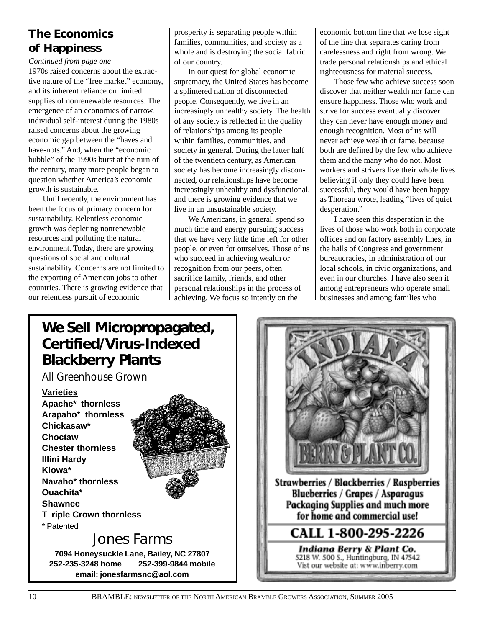# **The Economics of Happiness**

*Continued from page one*

1970s raised concerns about the extractive nature of the "free market" economy, and its inherent reliance on limited supplies of nonrenewable resources. The emergence of an economics of narrow, individual self-interest during the 1980s raised concerns about the growing economic gap between the "haves and have-nots." And, when the "economic bubble" of the 1990s burst at the turn of the century, many more people began to question whether America's economic growth is sustainable.

Until recently, the environment has been the focus of primary concern for sustainability. Relentless economic growth was depleting nonrenewable resources and polluting the natural environment. Today, there are growing questions of social and cultural sustainability. Concerns are not limited to the exporting of American jobs to other countries. There is growing evidence that our relentless pursuit of economic

prosperity is separating people within families, communities, and society as a whole and is destroying the social fabric of our country.

In our quest for global economic supremacy, the United States has become a splintered nation of disconnected people. Consequently, we live in an increasingly unhealthy society. The health of any society is reflected in the quality of relationships among its people – within families, communities, and society in general. During the latter half of the twentieth century, as American society has become increasingly disconnected, our relationships have become increasingly unhealthy and dysfunctional, and there is growing evidence that we live in an unsustainable society.

We Americans, in general, spend so much time and energy pursuing success that we have very little time left for other people, or even for ourselves. Those of us who succeed in achieving wealth or recognition from our peers, often sacrifice family, friends, and other personal relationships in the process of achieving. We focus so intently on the

economic bottom line that we lose sight of the line that separates caring from carelessness and right from wrong. We trade personal relationships and ethical righteousness for material success.

Those few who achieve success soon discover that neither wealth nor fame can ensure happiness. Those who work and strive for success eventually discover they can never have enough money and enough recognition. Most of us will never achieve wealth or fame, because both are defined by the few who achieve them and the many who do not. Most workers and strivers live their whole lives believing if only they could have been successful, they would have been happy – as Thoreau wrote, leading "lives of quiet desperation."

I have seen this desperation in the lives of those who work both in corporate offices and on factory assembly lines, in the halls of Congress and government bureaucracies, in administration of our local schools, in civic organizations, and even in our churches. I have also seen it among entrepreneurs who operate small businesses and among families who

# **We Sell Micropropagated, Certified/Virus-Indexed Blackberry Plants**

*All Greenhouse Grown*

## **Varieties**

**Apache\* thornless Arapaho\* thornless Chickasaw\* Choctaw Chester thornless Illini Hardy Kiowa\* Navaho\* thornless Ouachita\* Shawnee T riple Crown thornless** \* Patented Jones Farms





**7094 Honeysuckle Lane, Bailey, NC 27807 252-235-3248 home 252-399-9844 mobile email: jonesfarmsnc@aol.com**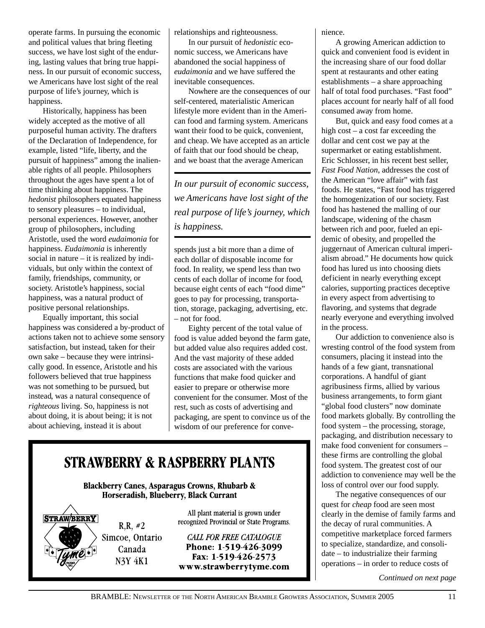operate farms. In pursuing the economic and political values that bring fleeting success, we have lost sight of the enduring, lasting values that bring true happiness. In our pursuit of economic success, we Americans have lost sight of the real purpose of life's journey, which is happiness.

Historically, happiness has been widely accepted as the motive of all purposeful human activity. The drafters of the Declaration of Independence, for example, listed "life, liberty, and the pursuit of happiness" among the inalienable rights of all people. Philosophers throughout the ages have spent a lot of time thinking about happiness. The *hedonist* philosophers equated happiness to sensory pleasures – to individual, personal experiences. However, another group of philosophers, including Aristotle, used the word *eudaimonia* for happiness. *Eudaimonia* is inherently social in nature – it is realized by individuals, but only within the context of family, friendships, community, or society. Aristotle's happiness, social happiness, was a natural product of positive personal relationships.

Equally important, this social happiness was considered a by-product of actions taken not to achieve some sensory satisfaction, but instead, taken for their own sake – because they were intrinsically good. In essence, Aristotle and his followers believed that true happiness was not something to be pursued, but instead, was a natural consequence of *righteous* living. So, happiness is not about doing, it is about being; it is not about achieving, instead it is about

relationships and righteousness.

In our pursuit of *hedonistic* economic success, we Americans have abandoned the social happiness of *eudaimonia* and we have suffered the inevitable consequences.

Nowhere are the consequences of our self-centered, materialistic American lifestyle more evident than in the American food and farming system. Americans want their food to be quick, convenient, and cheap. We have accepted as an article of faith that our food should be cheap, and we boast that the average American

*In our pursuit of economic success, we Americans have lost sight of the real purpose of life's journey, which is happiness.*

spends just a bit more than a dime of each dollar of disposable income for food. In reality, we spend less than two cents of each dollar of income for food, because eight cents of each "food dime" goes to pay for processing, transportation, storage, packaging, advertising, etc. – not for food.

Eighty percent of the total value of food is value added beyond the farm gate, but added value also requires added cost. And the vast majority of these added costs are associated with the various functions that make food quicker and easier to prepare or otherwise more convenient for the consumer. Most of the rest, such as costs of advertising and packaging, are spent to convince us of the wisdom of our preference for conve-

# **STRAWBERRY & RASPBERRY PLANTS**

**Blackberry Canes, Asparagus Crowns, Rhubarb &** Horseradish, Blueberry, Black Currant

**STRAWBERRY**  $R.R. #2$ Simcoe, Ontario Canada **N3Y 4K1** 

All plant material is grown under recognized Provincial or State Programs.

**CALL FOR FREE CATALOGUE** Phone: 1-519-426-3099 Fax: 1-519-426-2573 www.strawberrytyme.com nience.

A growing American addiction to quick and convenient food is evident in the increasing share of our food dollar spent at restaurants and other eating establishments – a share approaching half of total food purchases. "Fast food" places account for nearly half of all food consumed away from home.

But, quick and easy food comes at a high cost – a cost far exceeding the dollar and cent cost we pay at the supermarket or eating establishment. Eric Schlosser, in his recent best seller, *Fast Food Nation*, addresses the cost of the American "love affair" with fast foods. He states, "Fast food has triggered the homogenization of our society. Fast food has hastened the malling of our landscape, widening of the chasm between rich and poor, fueled an epidemic of obesity, and propelled the juggernaut of American cultural imperialism abroad." He documents how quick food has lured us into choosing diets deficient in nearly everything except calories, supporting practices deceptive in every aspect from advertising to flavoring, and systems that degrade nearly everyone and everything involved in the process.

Our addiction to convenience also is wresting control of the food system from consumers, placing it instead into the hands of a few giant, transnational corporations. A handful of giant agribusiness firms, allied by various business arrangements, to form giant "global food clusters" now dominate food markets globally. By controlling the food system – the processing, storage, packaging, and distribution necessary to make food convenient for consumers – these firms are controlling the global food system. The greatest cost of our addiction to convenience may well be the loss of control over our food supply.

The negative consequences of our quest for *cheap* food are seen most clearly in the demise of family farms and the decay of rural communities. A competitive marketplace forced farmers to specialize, standardize, and consolidate – to industrialize their farming operations – in order to reduce costs of

*Continued on next page*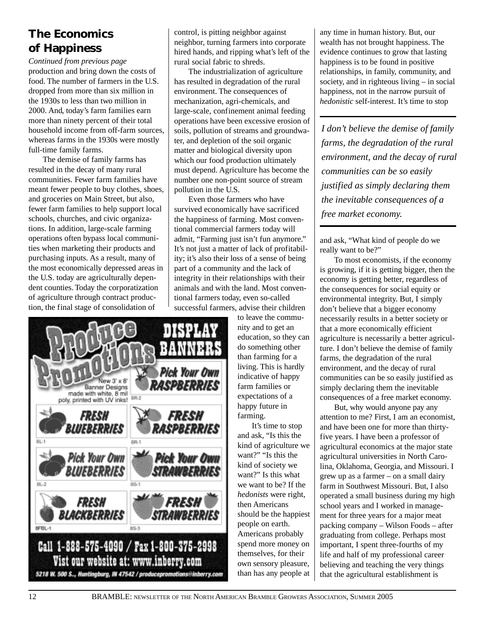# **The Economics of Happiness**

production and bring down the costs of food. The number of farmers in the U.S. dropped from more than six million in the 1930s to less than two million in 2000. And, today's farm families earn more than ninety percent of their total household income from off-farm sources, whereas farms in the 1930s were mostly full-time family farms. *Continued from previous page*

The demise of family farms has resulted in the decay of many rural communities. Fewer farm families have meant fewer people to buy clothes, shoes, and groceries on Main Street, but also, fewer farm families to help support local schools, churches, and civic organizations. In addition, large-scale farming operations often bypass local communities when marketing their products and purchasing inputs. As a result, many of the most economically depressed areas in the U.S. today are agriculturally dependent counties.Today the corporatization of agriculture through contract production, the final stage of consolidation of

control, is pitting neighbor against neighbor, turning farmers into corporate hired hands, and ripping what's left of the rural social fabric to shreds.

The industrialization of agriculture has resulted in degradation of the rural environment. The consequences of mechanization, agri-chemicals, and large-scale, confinement animal feeding operations have been excessive erosion of soils, pollution of streams and groundwater, and depletion of the soil organic matter and biological diversity upon which our food production ultimately must depend. Agriculture has become the number one non-point source of stream pollution in the U.S.

Even those farmers who have survived economically have sacrificed the happiness of farming. Most conventional commercial farmers today will admit, "Farming just isn't fun anymore." It's not just a matter of lack of profitability; it's also their loss of a sense of being part of a community and the lack of integrity in their relationships with their animals and with the land. Most conventional farmers today, even so-called successful farmers, advise their children

to leave the community and to get an education, so they can do something other than farming for a living. This is hardly indicative of happy farm families or expectations of a happy future in farming.

It's time to stop and ask, "Is this the kind of agriculture we want?" "Is this the kind of society we want?" Is this what we want to be? If the *hedonists* were right, then Americans should be the happiest people on earth. Americans probably spend more money on themselves, for their own sensory pleasure, than has any people at any time in human history. But, our wealth has not brought happiness. The evidence continues to grow that lasting happiness is to be found in positive relationships, in family, community, and society, and in righteous living – in social happiness, not in the narrow pursuit of *hedonistic* self-interest. It's time to stop

*I don't believe the demise of family farms, the degradation of the rural environment, and the decay of rural communities can be so easily justified as simply declaring them the inevitable consequences of a free market economy.*

and ask, "What kind of people do we really want to be?"

To most economists, if the economy is growing, if it is getting bigger, then the economy is getting better, regardless of the consequences for social equity or environmental integrity. But, I simply don't believe that a bigger economy necessarily results in a better society or that a more economically efficient agriculture is necessarily a better agriculture. I don't believe the demise of family farms, the degradation of the rural environment, and the decay of rural communities can be so easily justified as simply declaring them the inevitable consequences of a free market economy.

But, why would anyone pay any attention to me? First, I am an economist, and have been one for more than thirtyfive years. I have been a professor of agricultural economics at the major state agricultural universities in North Carolina, Oklahoma, Georgia, and Missouri. I grew up as a farmer – on a small dairy farm in Southwest Missouri. But, I also operated a small business during my high school years and I worked in management for three years for a major meat packing company – Wilson Foods – after graduating from college. Perhaps most important, I spent three-fourths of my life and half of my professional career believing and teaching the very things that the agricultural establishment is

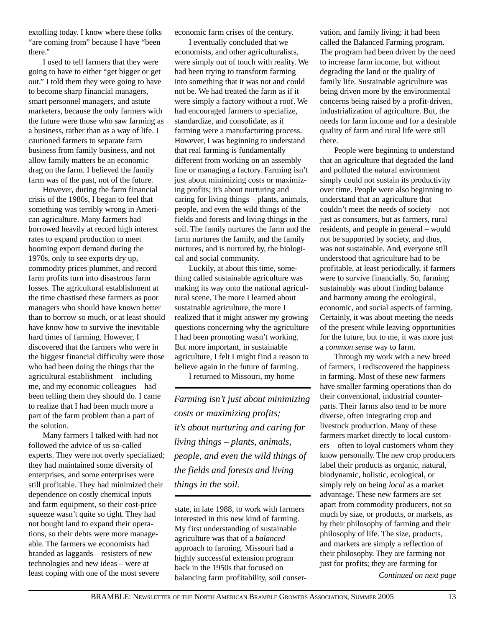extolling today. I know where these folks "are coming from" because I have "been there."

I used to tell farmers that they were going to have to either "get bigger or get out." I told them they were going to have to become sharp financial managers, smart personnel managers, and astute marketers, because the only farmers with the future were those who saw farming as a business, rather than as a way of life. I cautioned farmers to separate farm business from family business, and not allow family matters be an economic drag on the farm. I believed the family farm was of the past, not of the future.

However, during the farm financial crisis of the 1980s, I began to feel that something was terribly wrong in American agriculture. Many farmers had borrowed heavily at record high interest rates to expand production to meet booming export demand during the 1970s, only to see exports dry up, commodity prices plummet, and record farm profits turn into disastrous farm losses. The agricultural establishment at the time chastised these farmers as poor managers who should have known better than to borrow so much, or at least should have know how to survive the inevitable hard times of farming. However, I discovered that the farmers who were in the biggest financial difficulty were those who had been doing the things that the agricultural establishment – including me, and my economic colleagues – had been telling them they should do. I came to realize that I had been much more a part of the farm problem than a part of the solution.

Many farmers I talked with had not followed the advice of us so-called experts. They were not overly specialized; they had maintained some diversity of enterprises, and some enterprises were still profitable. They had minimized their dependence on costly chemical inputs and farm equipment, so their cost-price squeeze wasn't quite so tight. They had not bought land to expand their operations, so their debts were more manageable. The farmers we economists had branded as laggards – resisters of new technologies and new ideas – were at least coping with one of the most severe

economic farm crises of the century.

I eventually concluded that we economists, and other agriculturalists, were simply out of touch with reality. We had been trying to transform farming into something that it was not and could not be. We had treated the farm as if it were simply a factory without a roof. We had encouraged farmers to specialize, standardize, and consolidate, as if farming were a manufacturing process. However, I was beginning to understand that real farming is fundamentally different from working on an assembly line or managing a factory. Farming isn't just about minimizing costs or maximizing profits; it's about nurturing and caring for living things – plants, animals, people, and even the wild things of the fields and forests and living things in the soil. The family nurtures the farm and the farm nurtures the family, and the family nurtures, and is nurtured by, the biological and social community.

Luckily, at about this time, something called sustainable agriculture was making its way onto the national agricultural scene. The more I learned about sustainable agriculture, the more I realized that it might answer my growing questions concerning why the agriculture I had been promoting wasn't working. But more important, in sustainable agriculture, I felt I might find a reason to believe again in the future of farming. I returned to Missouri, my home

*Farming isn't just about minimizing costs or maximizing profits; it's about nurturing and caring for living things – plants, animals, people, and even the wild things of the fields and forests and living things in the soil.*

state, in late 1988, to work with farmers interested in this new kind of farming. My first understanding of sustainable agriculture was that of a *balanced* approach to farming. Missouri had a highly successful extension program back in the 1950s that focused on balancing farm profitability, soil conservation, and family living; it had been called the Balanced Farming program. The program had been driven by the need to increase farm income, but without degrading the land or the quality of family life. Sustainable agriculture was being driven more by the environmental concerns being raised by a profit-driven, industrialization of agriculture. But, the needs for farm income and for a desirable quality of farm and rural life were still there.

People were beginning to understand that an agriculture that degraded the land and polluted the natural environment simply could not sustain its productivity over time. People were also beginning to understand that an agriculture that couldn't meet the needs of society – not just as consumers, but as farmers, rural residents, and people in general – would not be supported by society, and thus, was not sustainable. And, everyone still understood that agriculture had to be profitable, at least periodically, if farmers were to survive financially. So, farming sustainably was about finding balance and harmony among the ecological, economic, and social aspects of farming. Certainly, it was about meeting the needs of the present while leaving opportunities for the future, but to me, it was more just a *common sense* way to farm.

Through my work with a new breed of farmers, I rediscovered the happiness in farming. Most of these new farmers have smaller farming operations than do their conventional, industrial counterparts. Their farms also tend to be more diverse, often integrating crop and livestock production. Many of these farmers market directly to local customers – often to loyal customers whom they know personally. The new crop producers label their products as organic, natural, biodynamic, holistic, ecological, or simply rely on being *local* as a market advantage. These new farmers are set apart from commodity producers, not so much by size, or products, or markets, as by their philosophy of farming and their philosophy of life. The size, products, and markets are simply a reflection of their philosophy. They are farming not just for profits; they are farming for

*Continued on next page*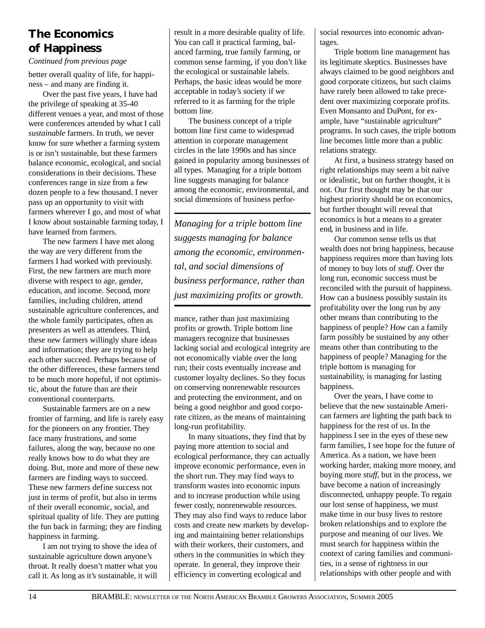# **The Economics of Happiness**

*Continued from previous page*

better overall quality of life, for happiness – and many are finding it.

Over the past five years, I have had the privilege of speaking at 35-40 different venues a year, and most of those were conferences attended by what I call *sustainable* farmers. In truth, we never know for sure whether a farming system is or isn't sustainable, but these farmers balance economic, ecological, and social considerations in their decisions. These conferences range in size from a few dozen people to a few thousand. I never pass up an opportunity to visit with farmers wherever I go, and most of what I know about sustainable farming today, I have learned from farmers.

The new farmers I have met along the way are very different from the farmers I had worked with previously. First, the new farmers are much more diverse with respect to age, gender, education, and income. Second, more families, including children, attend sustainable agriculture conferences, and the whole family participates, often as presenters as well as attendees. Third, these new farmers willingly share ideas and information; they are trying to help each other succeed. Perhaps because of the other differences, these farmers tend to be much more hopeful, if not optimistic, about the future than are their conventional counterparts.

Sustainable farmers are on a new frontier of farming, and life is rarely easy for the pioneers on any frontier. They face many frustrations, and some failures, along the way, because no one really knows how to do what they are doing. But, more and more of these new farmers are finding ways to succeed. These new farmers define success not just in terms of profit, but also in terms of their overall economic, social, and spiritual quality of life. They are putting the fun back in farming; they are finding happiness in farming.

I am not trying to shove the idea of sustainable agriculture down anyone's throat. It really doesn't matter what you call it. As long as it's sustainable, it will

result in a more desirable quality of life. You can call it practical farming, balanced farming, true family farming, or common sense farming, if you don't like the ecological or sustainable labels. Perhaps, the basic ideas would be more acceptable in today's society if we referred to it as farming for the triple bottom line.

The business concept of a triple bottom line first came to widespread attention in corporate management circles in the late 1990s and has since gained in popularity among businesses of all types. Managing for a triple bottom line suggests managing for balance among the economic, environmental, and social dimensions of business perfor-

*Managing for a triple bottom line suggests managing for balance among the economic, environmental, and social dimensions of business performance, rather than just maximizing profits or growth.*

mance, rather than just maximizing profits or growth. Triple bottom line managers recognize that businesses lacking social and ecological integrity are not economically viable over the long run; their costs eventually increase and customer loyalty declines. So they focus on conserving nonrenewable resources and protecting the environment, and on being a good neighbor and good corporate citizen, as the means of maintaining long-run profitability.

In many situations, they find that by paying more attention to social and ecological performance, they can actually improve economic performance, even in the short run. They may find ways to transform wastes into economic inputs and to increase production while using fewer costly, nonrenewable resources. They may also find ways to reduce labor costs and create new markets by developing and maintaining better relationships with their workers, their customers, and others in the communities in which they operate. In general, they improve their efficiency in converting ecological and

social resources into economic advantages.

Triple bottom line management has its legitimate skeptics. Businesses have always claimed to be good neighbors and good corporate citizens, but such claims have rarely been allowed to take precedent over maximizing corporate profits. Even Monsanto and DuPont, for example, have "sustainable agriculture" programs. In such cases, the triple bottom line becomes little more than a public relations strategy.

At first, a business strategy based on right relationships may seem a bit naïve or idealistic, but on further thought, it is not. Our first thought may be that our highest priority should be on economics, but further thought will reveal that economics is but a means to a greater end, in business and in life.

Our common sense tells us that wealth does not bring happiness, because happiness requires more than having lots of money to buy lots of *stuff*. Over the long run, economic success must be reconciled with the pursuit of happiness. How can a business possibly sustain its profitability over the long run by any other means than contributing to the happiness of people? How can a family farm possibly be sustained by any other means other than contributing to the happiness of people? Managing for the triple bottom is managing for sustainability, is managing for lasting happiness.

Over the years, I have come to believe that the new sustainable American farmers are lighting the path back to happiness for the rest of us. In the happiness I see in the eyes of these new farm families, I see hope for the future of America. As a nation, we have been working harder, making more money, and buying more *stuff*, but in the process, we have become a nation of increasingly disconnected, unhappy people. To regain our lost sense of happiness, we must make time in our busy lives to restore broken relationships and to explore the purpose and meaning of our lives. We must search for happiness within the context of caring families and communities, in a sense of rightness in our relationships with other people and with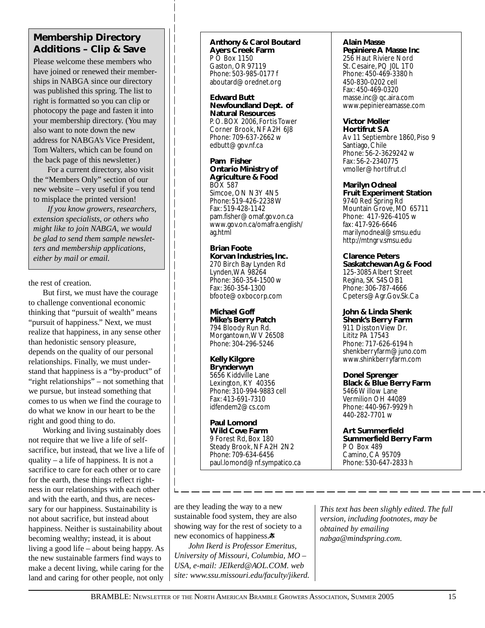## **Membership Directory Additions – Clip & Save**

Please welcome these members who have joined or renewed their memberships in NABGA since our directory was published this spring. The list to right is formatted so you can clip or photocopy the page and fasten it into your membership directory. (You may also want to note down the new address for NABGA's Vice President, Tom Walters, which can be found on the back page of this newsletter.)

For a current directory, also visit the "Members Only" section of our new website – very useful if you tend to misplace the printed version!

*If you know growers, researchers, extension specialists, or others who might like to join NABGA, we would be glad to send them sample newsletters and membership applications, either by mail or email.*

the rest of creation.

But first, we must have the courage to challenge conventional economic thinking that "pursuit of wealth" means "pursuit of happiness." Next, we must realize that happiness, in any sense other than hedonistic sensory pleasure, depends on the quality of our personal relationships. Finally, we must understand that happiness is a "by-product" of "right relationships" – not something that we pursue, but instead something that comes to us when we find the courage to do what we know in our heart to be the right and good thing to do.

Working and living sustainably does not require that we live a life of selfsacrifice, but instead, that we live a life of quality – a life of happiness. It is not a sacrifice to care for each other or to care for the earth, these things reflect rightness in our relationships with each other and with the earth, and thus, are necessary for our happiness. Sustainability is not about sacrifice, but instead about happiness. Neither is sustainability about becoming wealthy; instead, it is about living a good life – about being happy. As the new sustainable farmers find ways to make a decent living, while caring for the land and caring for other people, not only

#### **Anthony & Carol Boutard Ayers Creek Farm** P O Box 1150 Gaston, OR 97119 Phone: 503-985-0177 f aboutard@orednet.org

**Edward Butt Newfoundland Dept. of Natural Resources** P. O. BOX 2006, Fortis Tower Corner Brook, NF A2H 6J8 Phone: 709-637-2662 w edbutt@gov.nf.ca

**Pam Fisher Ontario Ministry of Agriculture & Food** BOX 587 Simcoe, ON N3Y 4N5 Phone: 519-426-2238 W Fax: 519-428-1142 pam.fisher@omaf.gov.on.ca www.gov.on.ca/omafra.english/ ag.html

**Brian Foote Korvan Industries, Inc.** 270 Birch Bay Lynden Rd Lynden, WA 98264 Phone: 360-354-1500 w Fax: 360-354-1300 bfoote@oxbocorp.com

**Michael Goff Mike's Berry Patch** 794 Bloody Run Rd. Morgantown, WV 26508 Phone: 304-296-5246

**Kelly Kilgore Brynderwyn** 5656 Kiddville Lane Lexington, KY 40356 Phone: 310-994-9883 cell Fax: 413-691-7310 idfendem2@cs.com

**Paul Lomond Wild Cove Farm** 9 Forest Rd, Box 180 Steady Brook, NF A2H 2N2 Phone: 709-634-6456 paul.lomond@nf.sympatico.ca

## **Alain Masse**

**Pepiniere A Masse Inc** 256 Haut Riviere Nord St. Cesaire, PQ J0L 1T0 Phone: 450-469-3380 h 450-830-0202 cell Fax: 450-469-0320 masse.inc@qc.aira.com www.pepiniereamasse.com

### **Victor Moller**

**Hortifrut S A** Av 11 Septiembre 1860, Piso 9 Santiago, Chile Phone: 56-2-3629242 w Fax: 56-2-2340775 vmoller@hortifrut.cl

### **Marilyn Odneal**

**Fruit Experiment Station** 9740 Red Spring Rd Mountain Grove, MO 65711 Phone: 417-926-4105 w fax: 417-926-6646 marilynodneal@smsu.edu http://mtngrv.smsu.edu

### **Clarence Peters**

**Saskatchewan Ag & Food** 125-3085 Albert Street Regina, SK S4S OB1 Phone: 306-787-4666 Cpeters@Agr.Gov.Sk.Ca

## **John & Linda Shenk**

**Shenk's Berry Farm** 911 Disston View Dr. Lititz PA 17543 Phone: 717-626-6194 h shenkberryfarm@juno.com www.shinkberryfarm.com

**Donel Sprenger**

**Black & Blue Berry Farm** 5466 Willow Lane Vermilion OH 44089 Phone: 440-967-9929 h 440-282-7701 w

#### **Art Summerfield Summerfield Berry Farm** P O Box 489 Camino, CA 95709 Phone: 530-647-2833 h

are they leading the way to a new sustainable food system, they are also showing way for the rest of society to a new economics of happiness.

*John Ikerd is Professor Emeritus, University of Missouri, Columbia, MO – USA, e-mail: JEIkerd@AOL.COM. web site: www.ssu.missouri.edu/faculty/jikerd.* *This text has been slighly edited. The full version, including footnotes, may be obtained by emailing nabga@mindspring.com.*